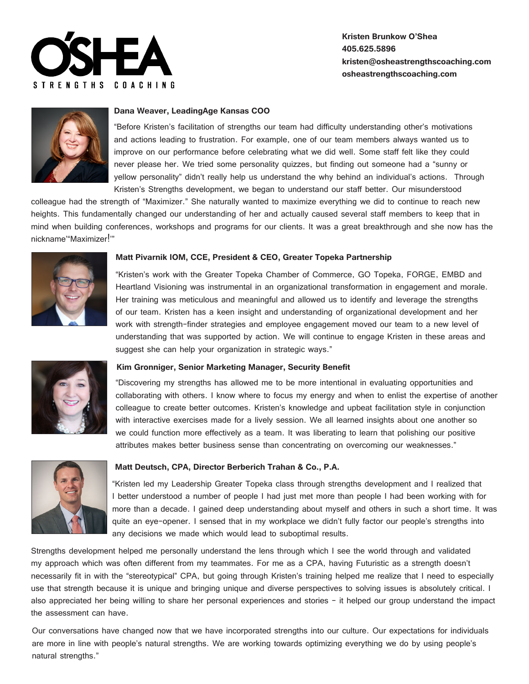

# **Kristen Brunkow O'Shea 405.625.5896 kristen@osheastrengthscoaching.com osheastrengthscoaching.com**



## **Dana Weaver, LeadingAge Kansas COO**

"Before Kristen's facilitation of strengths our team had difficulty understanding other's motivations and actions leading to frustration. For example, one of our team members always wanted us to improve on our performance before celebrating what we did well. Some staff felt like they could never please her. We tried some personality quizzes, but finding out someone had a "sunny or yellow personality" didn't really help us understand the why behind an individual's actions. Through Kristen's Strengths development, we began to understand our staff better. Our misunderstood

colleague had the strength of "Maximizer." She naturally wanted to maximize everything we did to continue to reach new heights. This fundamentally changed our understanding of her and actually caused several staff members to keep that in mind when building conferences, workshops and programs for our clients. It was a great breakthrough and she now has the nickname'"Maximizer!'"



#### **Matt Pivarnik IOM, CCE, President & CEO, Greater Topeka Partnership**

"Kristen's work with the Greater Topeka Chamber of Commerce, GO Topeka, FORGE, EMBD and Heartland Visioning was instrumental in an organizational transformation in engagement and morale. Her training was meticulous and meaningful and allowed us to identify and leverage the strengths of our team. Kristen has a keen insight and understanding of organizational development and her work with strength-finder strategies and employee engagement moved our team to a new level of understanding that was supported by action. We will continue to engage Kristen in these areas and suggest she can help your organization in strategic ways."



#### **Kim Gronniger, Senior Marketing Manager, Security Benefit**

"Discovering my strengths has allowed me to be more intentional in evaluating opportunities and collaborating with others. I know where to focus my energy and when to enlist the expertise of another colleague to create better outcomes. Kristen's knowledge and upbeat facilitation style in conjunction with interactive exercises made for a lively session. We all learned insights about one another so we could function more effectively as a team. It was liberating to learn that polishing our positive attributes makes better business sense than concentrating on overcoming our weaknesses."



#### **Matt Deutsch, CPA, Director Berberich Trahan & Co., P.A.**

"Kristen led my Leadership Greater Topeka class through strengths development and I realized that I better understood a number of people I had just met more than people I had been working with for more than a decade. I gained deep understanding about myself and others in such a short time. It was quite an eye-opener. I sensed that in my workplace we didn't fully factor our people's strengths into any decisions we made which would lead to suboptimal results.

Strengths development helped me personally understand the lens through which I see the world through and validated my approach which was often different from my teammates. For me as a CPA, having Futuristic as a strength doesn't necessarily fit in with the "stereotypical" CPA, but going through Kristen's training helped me realize that I need to especially use that strength because it is unique and bringing unique and diverse perspectives to solving issues is absolutely critical. I also appreciated her being willing to share her personal experiences and stories - it helped our group understand the impact the assessment can have.

Our conversations have changed now that we have incorporated strengths into our culture. Our expectations for individuals are more in line with people's natural strengths. We are working towards optimizing everything we do by using people's natural strengths."